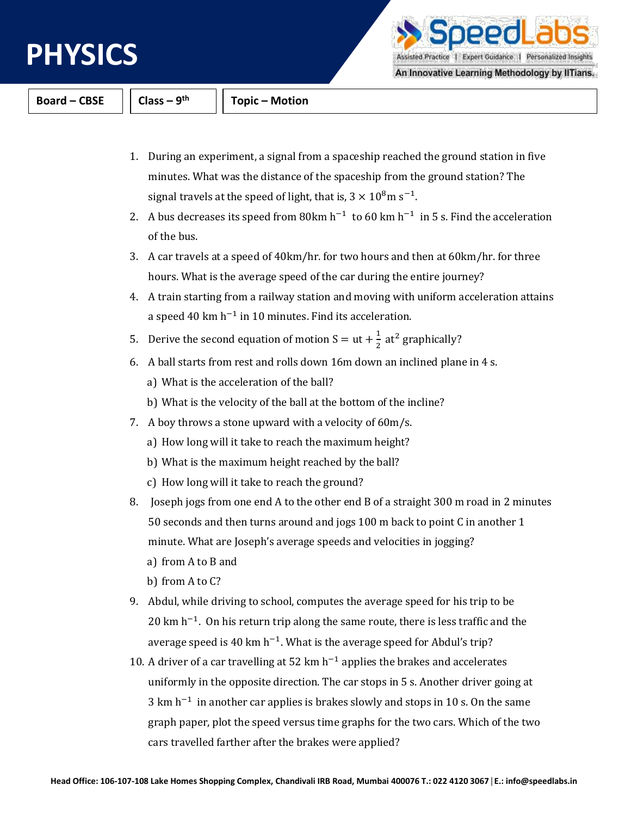

peedLa Assisted Practice | Expert Guidance | Personalized Insights

An Innovative Learning Methodology by IITians.

**Board – CBSE Class – 9**

**th Topic – Motion**

- 1. During an experiment, a signal from a spaceship reached the ground station in five minutes. What was the distance of the spaceship from the ground station? The signal travels at the speed of light, that is,  $3 \times 10^8$ m s<sup>-1</sup>.
- 2. A bus decreases its speed from 80km  $h^{-1}$  to 60 km  $h^{-1}$  in 5 s. Find the acceleration of the bus.
- 3. A car travels at a speed of 40km/hr. for two hours and then at 60km/hr. for three hours. What is the average speed of the car during the entire journey?
- 4. A train starting from a railway station and moving with uniform acceleration attains a speed 40 km h<sup>-1</sup> in 10 minutes. Find its acceleration.
- 5. Derive the second equation of motion  $S = ut + \frac{1}{2}$  $\frac{1}{2}$  at<sup>2</sup> graphically?
- 6. A ball starts from rest and rolls down 16m down an inclined plane in 4 s.
	- a) What is the acceleration of the ball?
	- b) What is the velocity of the ball at the bottom of the incline?
- 7. A boy throws a stone upward with a velocity of 60m/s.
	- a) How long will it take to reach the maximum height?
	- b) What is the maximum height reached by the ball?
	- c) How long will it take to reach the ground?
- 8. Joseph jogs from one end A to the other end B of a straight 300 m road in 2 minutes 50 seconds and then turns around and jogs 100 m back to point C in another 1 minute. What are Joseph's average speeds and velocities in jogging?
	- a) from A to B and
	- b) from A to C?
- 9. Abdul, while driving to school, computes the average speed for his trip to be  $20 \text{ km h}^{-1}$ . On his return trip along the same route, there is less traffic and the average speed is 40 km h<sup>-1</sup>. What is the average speed for Abdul's trip?
- 10. A driver of a car travelling at 52 km  $h^{-1}$  applies the brakes and accelerates uniformly in the opposite direction. The car stops in 5 s. Another driver going at  $3 \text{ km h}^{-1}$  in another car applies is brakes slowly and stops in 10 s. On the same graph paper, plot the speed versus time graphs for the two cars. Which of the two cars travelled farther after the brakes were applied?